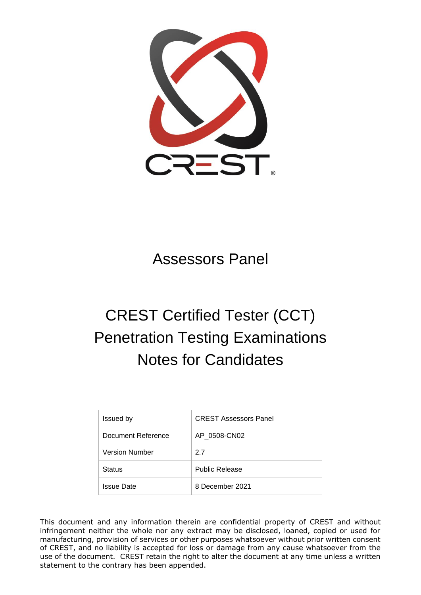

# Assessors Panel

# CREST Certified Tester (CCT) Penetration Testing Examinations Notes for Candidates

| Issued by             | <b>CREST Assessors Panel</b> |
|-----------------------|------------------------------|
| Document Reference    | AP 0508-CN02                 |
| <b>Version Number</b> | 27                           |
| <b>Status</b>         | <b>Public Release</b>        |
| <b>Issue Date</b>     | 8 December 2021              |

This document and any information therein are confidential property of CREST and without infringement neither the whole nor any extract may be disclosed, loaned, copied or used for manufacturing, provision of services or other purposes whatsoever without prior written consent of CREST, and no liability is accepted for loss or damage from any cause whatsoever from the use of the document. CREST retain the right to alter the document at any time unless a written statement to the contrary has been appended.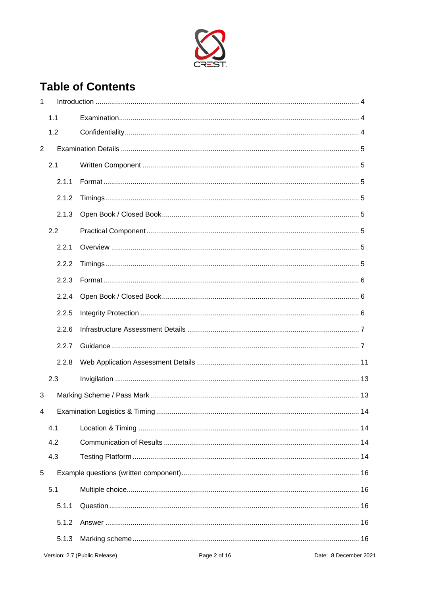

# **Table of Contents**

| 1 |       |    |  |
|---|-------|----|--|
|   | 1.1   |    |  |
|   | 1.2   |    |  |
| 2 |       |    |  |
|   | 2.1   |    |  |
|   | 2.1.1 |    |  |
|   | 2.1.2 |    |  |
|   | 2.1.3 |    |  |
|   | 2.2   |    |  |
|   | 2.2.1 |    |  |
|   | 2.2.2 |    |  |
|   | 2.2.3 |    |  |
|   | 2.2.4 |    |  |
|   | 2.2.5 |    |  |
|   | 2.2.6 |    |  |
|   | 2.2.7 |    |  |
|   | 2.2.8 |    |  |
|   | 2.3   |    |  |
| 3 |       |    |  |
| 4 |       | 14 |  |
|   | 4.1   |    |  |
|   | 4.2   |    |  |
|   | 4.3   |    |  |
| 5 |       |    |  |
|   | 5.1   |    |  |
|   | 5.1.1 |    |  |
|   | 5.1.2 |    |  |
|   | 5.1.3 |    |  |
|   |       |    |  |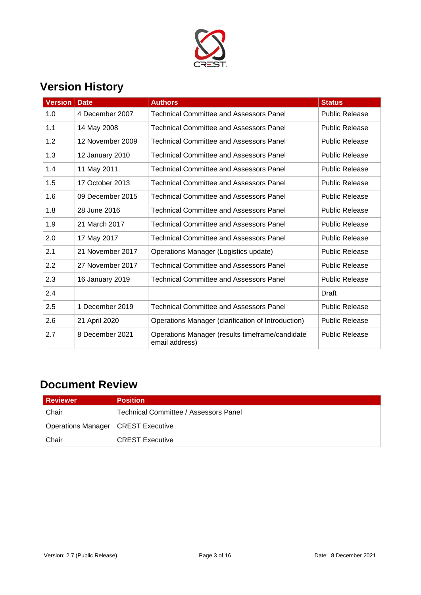

# **Version History**

| Version | <b>Date</b>      | <b>Authors</b>                                                    | <b>Status</b>         |
|---------|------------------|-------------------------------------------------------------------|-----------------------|
| 1.0     | 4 December 2007  | <b>Technical Committee and Assessors Panel</b>                    | <b>Public Release</b> |
| 1.1     | 14 May 2008      | <b>Technical Committee and Assessors Panel</b>                    | <b>Public Release</b> |
| 1.2     | 12 November 2009 | <b>Technical Committee and Assessors Panel</b>                    | <b>Public Release</b> |
| 1.3     | 12 January 2010  | <b>Technical Committee and Assessors Panel</b>                    | <b>Public Release</b> |
| 1.4     | 11 May 2011      | <b>Technical Committee and Assessors Panel</b>                    | <b>Public Release</b> |
| 1.5     | 17 October 2013  | <b>Technical Committee and Assessors Panel</b>                    | <b>Public Release</b> |
| 1.6     | 09 December 2015 | <b>Technical Committee and Assessors Panel</b>                    | <b>Public Release</b> |
| 1.8     | 28 June 2016     | <b>Technical Committee and Assessors Panel</b>                    | <b>Public Release</b> |
| 1.9     | 21 March 2017    | <b>Technical Committee and Assessors Panel</b>                    | <b>Public Release</b> |
| 2.0     | 17 May 2017      | <b>Technical Committee and Assessors Panel</b>                    | <b>Public Release</b> |
| 2.1     | 21 November 2017 | Operations Manager (Logistics update)                             | <b>Public Release</b> |
| 2.2     | 27 November 2017 | <b>Technical Committee and Assessors Panel</b>                    | <b>Public Release</b> |
| 2.3     | 16 January 2019  | <b>Technical Committee and Assessors Panel</b>                    | <b>Public Release</b> |
| 2.4     |                  |                                                                   | Draft                 |
| 2.5     | 1 December 2019  | <b>Technical Committee and Assessors Panel</b>                    | <b>Public Release</b> |
| 2.6     | 21 April 2020    | Operations Manager (clarification of Introduction)                | <b>Public Release</b> |
| 2.7     | 8 December 2021  | Operations Manager (results timeframe/candidate<br>email address) | <b>Public Release</b> |

# **Document Review**

| Reviewer                             | <b>Position</b>                       |
|--------------------------------------|---------------------------------------|
| Chair                                | Technical Committee / Assessors Panel |
| Operations Manager   CREST Executive |                                       |
| Chair                                | <b>CREST Executive</b>                |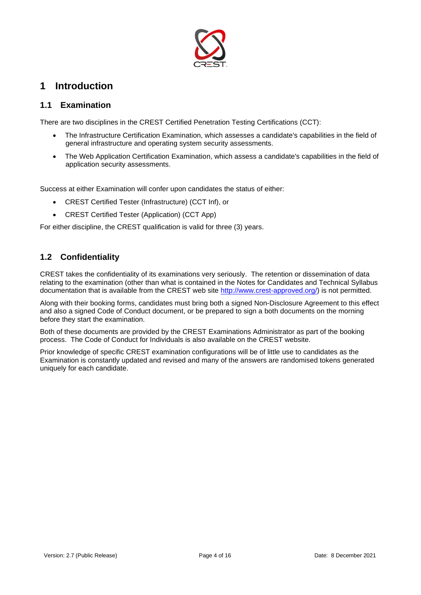

### <span id="page-3-0"></span>**1 Introduction**

#### <span id="page-3-1"></span>**1.1 Examination**

There are two disciplines in the CREST Certified Penetration Testing Certifications (CCT):

- The Infrastructure Certification Examination, which assesses a candidate's capabilities in the field of general infrastructure and operating system security assessments.
- The Web Application Certification Examination, which assess a candidate's capabilities in the field of application security assessments.

Success at either Examination will confer upon candidates the status of either:

- CREST Certified Tester (Infrastructure) (CCT Inf), or
- CREST Certified Tester (Application) (CCT App)

For either discipline, the CREST qualification is valid for three (3) years.

#### <span id="page-3-2"></span>**1.2 Confidentiality**

CREST takes the confidentiality of its examinations very seriously. The retention or dissemination of data relating to the examination (other than what is contained in the Notes for Candidates and Technical Syllabus documentation that is available from the CREST web site [http://www.crest-approved.org/\)](http://www.crest-approved.org/) is not permitted.

Along with their booking forms, candidates must bring both a signed Non-Disclosure Agreement to this effect and also a signed Code of Conduct document, or be prepared to sign a both documents on the morning before they start the examination.

Both of these documents are provided by the CREST Examinations Administrator as part of the booking process. The Code of Conduct for Individuals is also available on the CREST website.

Prior knowledge of specific CREST examination configurations will be of little use to candidates as the Examination is constantly updated and revised and many of the answers are randomised tokens generated uniquely for each candidate.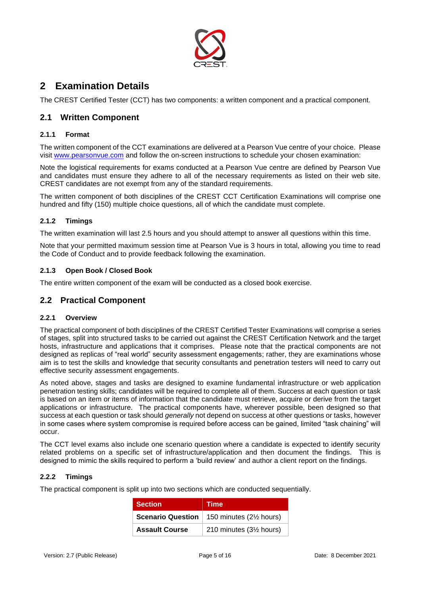

### <span id="page-4-0"></span>**2 Examination Details**

The CREST Certified Tester (CCT) has two components: a written component and a practical component.

#### <span id="page-4-1"></span>**2.1 Written Component**

#### <span id="page-4-2"></span>**2.1.1 Format**

The written component of the CCT examinations are delivered at a Pearson Vue centre of your choice. Please visit [www.pearsonvue.com](http://www.pearsonvue.com/crest) and follow the on-screen instructions to schedule your chosen examination:

Note the logistical requirements for exams conducted at a Pearson Vue centre are defined by Pearson Vue and candidates must ensure they adhere to all of the necessary requirements as listed on their web site. CREST candidates are not exempt from any of the standard requirements.

The written component of both disciplines of the CREST CCT Certification Examinations will comprise one hundred and fifty (150) multiple choice questions, all of which the candidate must complete.

#### <span id="page-4-3"></span>**2.1.2 Timings**

The written examination will last 2.5 hours and you should attempt to answer all questions within this time.

Note that your permitted maximum session time at Pearson Vue is 3 hours in total, allowing you time to read the Code of Conduct and to provide feedback following the examination.

#### <span id="page-4-4"></span>**2.1.3 Open Book / Closed Book**

The entire written component of the exam will be conducted as a closed book exercise.

#### <span id="page-4-5"></span>**2.2 Practical Component**

#### <span id="page-4-6"></span>**2.2.1 Overview**

The practical component of both disciplines of the CREST Certified Tester Examinations will comprise a series of stages, split into structured tasks to be carried out against the CREST Certification Network and the target hosts, infrastructure and applications that it comprises. Please note that the practical components are not designed as replicas of "real world" security assessment engagements; rather, they are examinations whose aim is to test the skills and knowledge that security consultants and penetration testers will need to carry out effective security assessment engagements.

As noted above, stages and tasks are designed to examine fundamental infrastructure or web application penetration testing skills; candidates will be required to complete all of them. Success at each question or task is based on an item or items of information that the candidate must retrieve, acquire or derive from the target applications or infrastructure. The practical components have, wherever possible, been designed so that success at each question or task should *generally* not depend on success at other questions or tasks, however in some cases where system compromise is required before access can be gained, limited "task chaining" will occur.

The CCT level exams also include one scenario question where a candidate is expected to identify security related problems on a specific set of infrastructure/application and then document the findings. This is designed to mimic the skills required to perform a 'build review' and author a client report on the findings.

#### <span id="page-4-7"></span>**2.2.2 Timings**

The practical component is split up into two sections which are conducted sequentially.

| <b>Section</b>           | <b>Time</b>                          |
|--------------------------|--------------------------------------|
| <b>Scenario Question</b> | 150 minutes (21/ <sub>2</sub> hours) |
| <b>Assault Course</b>    | 210 minutes (3½ hours)               |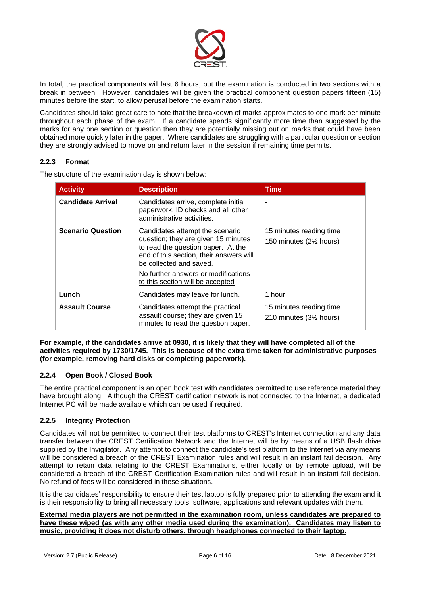

In total, the practical components will last 6 hours, but the examination is conducted in two sections with a break in between. However, candidates will be given the practical component question papers fifteen (15) minutes before the start, to allow perusal before the examination starts.

Candidates should take great care to note that the breakdown of marks approximates to one mark per minute throughout each phase of the exam. If a candidate spends significantly more time than suggested by the marks for any one section or question then they are potentially missing out on marks that could have been obtained more quickly later in the paper. Where candidates are struggling with a particular question or section they are strongly advised to move on and return later in the session if remaining time permits.

#### <span id="page-5-0"></span>**2.2.3 Format**

The structure of the examination day is shown below:

| <b>Activity</b>          | <b>Description</b>                                                                                                                                                                                                                                            | Time                                              |
|--------------------------|---------------------------------------------------------------------------------------------------------------------------------------------------------------------------------------------------------------------------------------------------------------|---------------------------------------------------|
| <b>Candidate Arrival</b> | Candidates arrive, complete initial<br>paperwork, ID checks and all other<br>administrative activities.                                                                                                                                                       |                                                   |
| <b>Scenario Question</b> | Candidates attempt the scenario<br>question; they are given 15 minutes<br>to read the question paper. At the<br>end of this section, their answers will<br>be collected and saved.<br>No further answers or modifications<br>to this section will be accepted | 15 minutes reading time<br>150 minutes (2½ hours) |
| Lunch                    | Candidates may leave for lunch.                                                                                                                                                                                                                               | 1 hour                                            |
| <b>Assault Course</b>    | Candidates attempt the practical<br>assault course; they are given 15<br>minutes to read the question paper.                                                                                                                                                  | 15 minutes reading time<br>210 minutes (3½ hours) |

**For example, if the candidates arrive at 0930, it is likely that they will have completed all of the activities required by 1730/1745. This is because of the extra time taken for administrative purposes (for example, removing hard disks or completing paperwork).** 

#### <span id="page-5-1"></span>**2.2.4 Open Book / Closed Book**

The entire practical component is an open book test with candidates permitted to use reference material they have brought along. Although the CREST certification network is not connected to the Internet, a dedicated Internet PC will be made available which can be used if required.

#### <span id="page-5-2"></span>**2.2.5 Integrity Protection**

Candidates will not be permitted to connect their test platforms to CREST's Internet connection and any data transfer between the CREST Certification Network and the Internet will be by means of a USB flash drive supplied by the Invigilator. Any attempt to connect the candidate's test platform to the Internet via any means will be considered a breach of the CREST Examination rules and will result in an instant fail decision. Any attempt to retain data relating to the CREST Examinations, either locally or by remote upload, will be considered a breach of the CREST Certification Examination rules and will result in an instant fail decision. No refund of fees will be considered in these situations.

It is the candidates' responsibility to ensure their test laptop is fully prepared prior to attending the exam and it is their responsibility to bring all necessary tools, software, applications and relevant updates with them.

**External media players are not permitted in the examination room, unless candidates are prepared to have these wiped (as with any other media used during the examination). Candidates may listen to music, providing it does not disturb others, through headphones connected to their laptop.**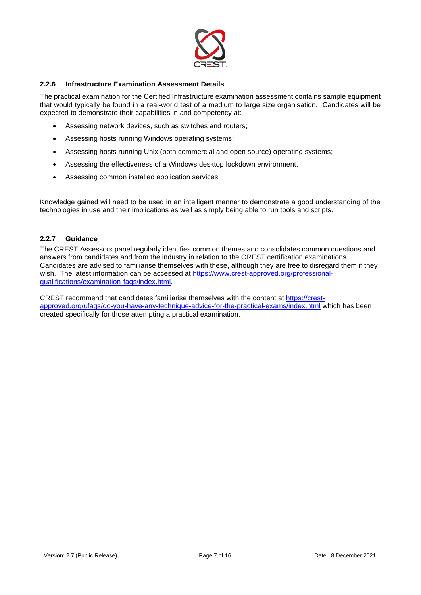

#### <span id="page-6-0"></span>**2.2.6 Infrastructure Examination Assessment Details**

The practical examination for the Certified Infrastructure examination assessment contains sample equipment that would typically be found in a real-world test of a medium to large size organisation. Candidates will be expected to demonstrate their capabilities in and competency at:

- Assessing network devices, such as switches and routers;
- Assessing hosts running Windows operating systems;
- Assessing hosts running Unix (both commercial and open source) operating systems;
- Assessing the effectiveness of a Windows desktop lockdown environment.
- Assessing common installed application services

Knowledge gained will need to be used in an intelligent manner to demonstrate a good understanding of the technologies in use and their implications as well as simply being able to run tools and scripts.

#### <span id="page-6-1"></span>**2.2.7 Guidance**

The CREST Assessors panel regularly identifies common themes and consolidates common questions and answers from candidates and from the industry in relation to the CREST certification examinations. Candidates are advised to familiarise themselves with these, although they are free to disregard them if they wish. The latest information can be accessed at [https://www.crest-approved.org/professional](https://www.crest-approved.org/professional-qualifications/examination-faqs/index.html)[qualifications/examination-faqs/index.html.](https://www.crest-approved.org/professional-qualifications/examination-faqs/index.html)

CREST recommend that candidates familiarise themselves with the content at [https://crest](https://crest-approved.org/ufaqs/do-you-have-any-technique-advice-for-the-practical-exams/index.html)[approved.org/ufaqs/do-you-have-any-technique-advice-for-the-practical-exams/index.html](https://crest-approved.org/ufaqs/do-you-have-any-technique-advice-for-the-practical-exams/index.html) which has been created specifically for those attempting a practical examination.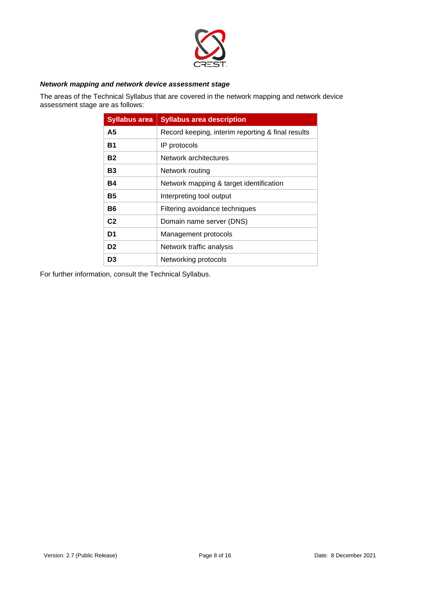

#### *Network mapping and network device assessment stage*

The areas of the Technical Syllabus that are covered in the network mapping and network device assessment stage are as follows:

| <b>Syllabus area</b> | <b>Syllabus area description</b>                  |
|----------------------|---------------------------------------------------|
| А5                   | Record keeping, interim reporting & final results |
| Β1                   | IP protocols                                      |
| Β2                   | Network architectures                             |
| В3                   | Network routing                                   |
| Β4                   | Network mapping & target identification           |
| Β5                   | Interpreting tool output                          |
| Β6                   | Filtering avoidance techniques                    |
| C <sub>2</sub>       | Domain name server (DNS)                          |
| D1                   | Management protocols                              |
| D <sub>2</sub>       | Network traffic analysis                          |
| D3                   | Networking protocols                              |

For further information, consult the Technical Syllabus.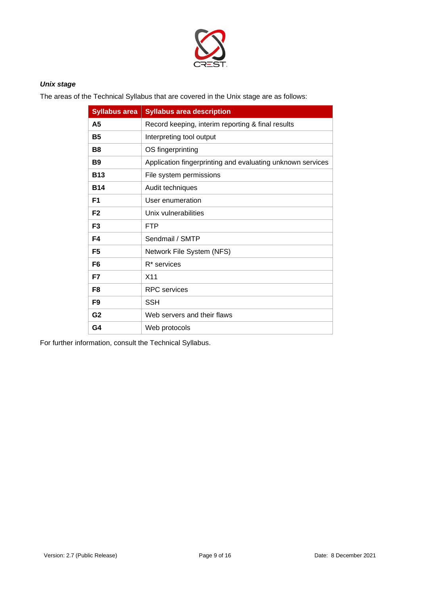

#### *Unix stage*

The areas of the Technical Syllabus that are covered in the Unix stage are as follows:

| <b>Syllabus area</b> | <b>Syllabus area description</b>                           |
|----------------------|------------------------------------------------------------|
| A5                   | Record keeping, interim reporting & final results          |
| <b>B5</b>            | Interpreting tool output                                   |
| B8                   | OS fingerprinting                                          |
| <b>B</b> 9           | Application fingerprinting and evaluating unknown services |
| <b>B13</b>           | File system permissions                                    |
| <b>B14</b>           | Audit techniques                                           |
| F <sub>1</sub>       | User enumeration                                           |
| F <sub>2</sub>       | Unix vulnerabilities                                       |
| F <sub>3</sub>       | <b>FTP</b>                                                 |
| F4                   | Sendmail / SMTP                                            |
| F <sub>5</sub>       | Network File System (NFS)                                  |
| F <sub>6</sub>       | R <sup>*</sup> services                                    |
| F7                   | X <sub>11</sub>                                            |
| F8                   | <b>RPC</b> services                                        |
| F9                   | <b>SSH</b>                                                 |
| G <sub>2</sub>       | Web servers and their flaws                                |
| G4                   | Web protocols                                              |

For further information, consult the Technical Syllabus.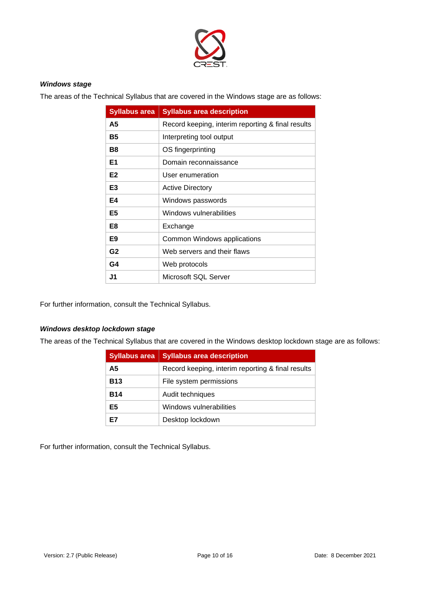

#### *Windows stage*

The areas of the Technical Syllabus that are covered in the Windows stage are as follows:

| <b>Syllabus area</b> | <b>Syllabus area description</b>                  |
|----------------------|---------------------------------------------------|
| A5                   | Record keeping, interim reporting & final results |
| Β5                   | Interpreting tool output                          |
| B8                   | OS fingerprinting                                 |
| E1                   | Domain reconnaissance                             |
| E <sub>2</sub>       | User enumeration                                  |
| E <sub>3</sub>       | <b>Active Directory</b>                           |
| E4                   | Windows passwords                                 |
| E <sub>5</sub>       | Windows vulnerabilities                           |
| E8                   | Exchange                                          |
| E9                   | Common Windows applications                       |
| G <sub>2</sub>       | Web servers and their flaws                       |
| G4                   | Web protocols                                     |
| J1                   | Microsoft SQL Server                              |

For further information, consult the Technical Syllabus.

#### *Windows desktop lockdown stage*

The areas of the Technical Syllabus that are covered in the Windows desktop lockdown stage are as follows:

| <b>Syllabus area</b> | <b>Syllabus area description</b>                  |
|----------------------|---------------------------------------------------|
| А5                   | Record keeping, interim reporting & final results |
| <b>B13</b>           | File system permissions                           |
| <b>B14</b>           | Audit techniques                                  |
| E5                   | Windows vulnerabilities                           |
|                      | Desktop lockdown                                  |

For further information, consult the Technical Syllabus.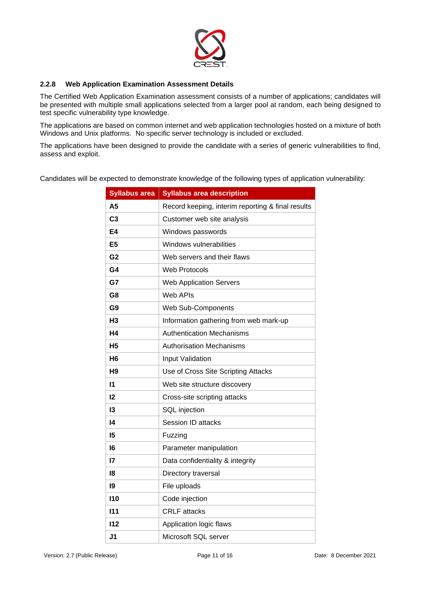

#### <span id="page-10-0"></span>**2.2.8 Web Application Examination Assessment Details**

The Certified Web Application Examination assessment consists of a number of applications; candidates will be presented with multiple small applications selected from a larger pool at random, each being designed to test specific vulnerability type knowledge.

The applications are based on common internet and web application technologies hosted on a mixture of both Windows and Unix platforms. No specific server technology is included or excluded.

The applications have been designed to provide the candidate with a series of generic vulnerabilities to find, assess and exploit.

Candidates will be expected to demonstrate knowledge of the following types of application vulnerability:

| <b>Syllabus area</b> | <b>Syllabus area description</b>                  |
|----------------------|---------------------------------------------------|
| A5                   | Record keeping, interim reporting & final results |
| C <sub>3</sub>       | Customer web site analysis                        |
| E4                   | Windows passwords                                 |
| E5                   | Windows vulnerabilities                           |
| G <sub>2</sub>       | Web servers and their flaws                       |
| G4                   | Web Protocols                                     |
| G7                   | <b>Web Application Servers</b>                    |
| G8                   | <b>Web APIs</b>                                   |
| G9                   | Web Sub-Components                                |
| H <sub>3</sub>       | Information gathering from web mark-up            |
| Η4                   | <b>Authentication Mechanisms</b>                  |
| Η5                   | <b>Authorisation Mechanisms</b>                   |
| H6                   | Input Validation                                  |
| H <sub>9</sub>       | Use of Cross Site Scripting Attacks               |
| 11                   | Web site structure discovery                      |
| 12                   | Cross-site scripting attacks                      |
| 13                   | SQL injection                                     |
| 14                   | Session ID attacks                                |
| 15                   | Fuzzing                                           |
| 16                   | Parameter manipulation                            |
| 17                   | Data confidentiality & integrity                  |
| 18                   | Directory traversal                               |
| 19                   | File uploads                                      |
| <b>I10</b>           | Code injection                                    |
| 111                  | <b>CRLF</b> attacks                               |
| 112                  | Application logic flaws                           |
| J1                   | Microsoft SQL server                              |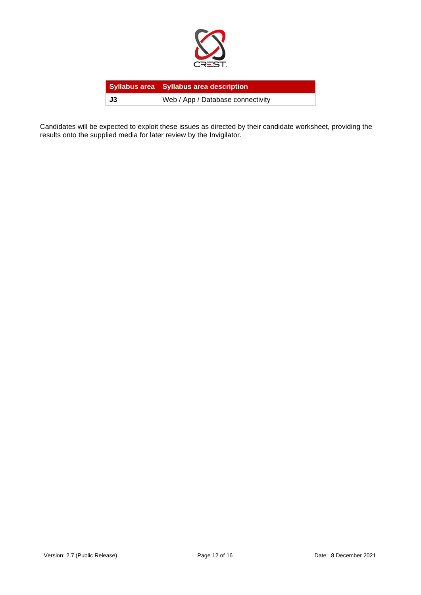

|    | Syllabus area   Syllabus area description |
|----|-------------------------------------------|
| J3 | Web / App / Database connectivity         |

Candidates will be expected to exploit these issues as directed by their candidate worksheet, providing the results onto the supplied media for later review by the Invigilator.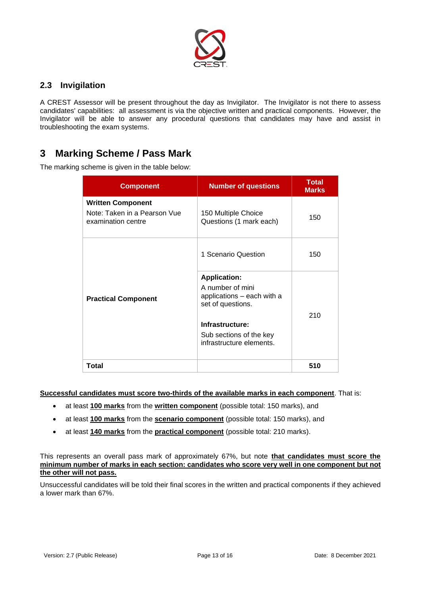

#### <span id="page-12-0"></span>**2.3 Invigilation**

A CREST Assessor will be present throughout the day as Invigilator. The Invigilator is not there to assess candidates' capabilities: all assessment is via the objective written and practical components. However, the Invigilator will be able to answer any procedural questions that candidates may have and assist in troubleshooting the exam systems.

### <span id="page-12-1"></span>**3 Marking Scheme / Pass Mark**

The marking scheme is given in the table below:

| <b>Component</b>                                                               | <b>Number of questions</b>                                                                                                               | <b>Total</b><br><b>Marks</b> |
|--------------------------------------------------------------------------------|------------------------------------------------------------------------------------------------------------------------------------------|------------------------------|
| <b>Written Component</b><br>Note: Taken in a Pearson Vue<br>examination centre | 150 Multiple Choice<br>Questions (1 mark each)                                                                                           | 150                          |
| <b>Practical Component</b><br>Total                                            | 1 Scenario Question                                                                                                                      | 150                          |
|                                                                                | <b>Application:</b><br>A number of mini<br>applications - each with a<br>set of questions.<br>Infrastructure:<br>Sub sections of the key | 210                          |
|                                                                                | infrastructure elements.                                                                                                                 | 510                          |

#### **Successful candidates must score two-thirds of the available marks in each component**. That is:

- at least **100 marks** from the **written component** (possible total: 150 marks), and
- at least **100 marks** from the **scenario component** (possible total: 150 marks), and
- at least **140 marks** from the **practical component** (possible total: 210 marks).

This represents an overall pass mark of approximately 67%, but note **that candidates must score the minimum number of marks in each section: candidates who score very well in one component but not the other will not pass.**

Unsuccessful candidates will be told their final scores in the written and practical components if they achieved a lower mark than 67%.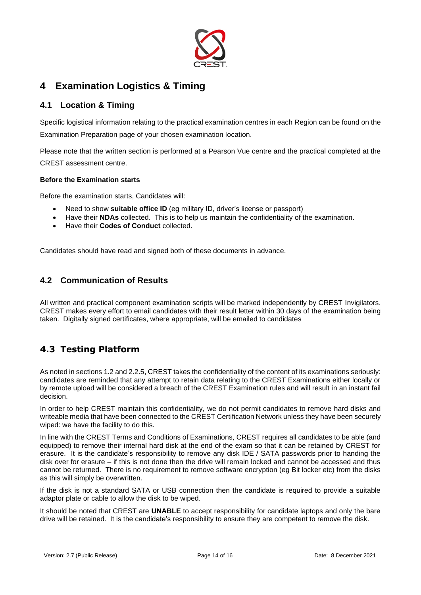

# <span id="page-13-0"></span>**4 Examination Logistics & Timing**

#### <span id="page-13-1"></span>**4.1 Location & Timing**

Specific logistical information relating to the practical examination centres in each Region can be found on the Examination Preparation page of your chosen examination location.

Please note that the written section is performed at a Pearson Vue centre and the practical completed at the CREST assessment centre.

#### **Before the Examination starts**

Before the examination starts, Candidates will:

- Need to show **suitable office ID** (eg military ID, driver's license or passport)
- Have their **NDAs** collected. This is to help us maintain the confidentiality of the examination.
- Have their **Codes of Conduct** collected.

Candidates should have read and signed both of these documents in advance.

#### <span id="page-13-2"></span>**4.2 Communication of Results**

All written and practical component examination scripts will be marked independently by CREST Invigilators. CREST makes every effort to email candidates with their result letter within 30 days of the examination being taken. Digitally signed certificates, where appropriate, will be emailed to candidates

### <span id="page-13-3"></span>**4.3 Testing Platform**

As noted in sections [1.2](#page-3-2) and [2.2.5,](#page-5-2) CREST takes the confidentiality of the content of its examinations seriously: candidates are reminded that any attempt to retain data relating to the CREST Examinations either locally or by remote upload will be considered a breach of the CREST Examination rules and will result in an instant fail decision.

In order to help CREST maintain this confidentiality, we do not permit candidates to remove hard disks and writeable media that have been connected to the CREST Certification Network unless they have been securely wiped: we have the facility to do this.

In line with the CREST Terms and Conditions of Examinations, CREST requires all candidates to be able (and equipped) to remove their internal hard disk at the end of the exam so that it can be retained by CREST for erasure. It is the candidate's responsibility to remove any disk IDE / SATA passwords prior to handing the disk over for erasure – if this is not done then the drive will remain locked and cannot be accessed and thus cannot be returned. There is no requirement to remove software encryption (eg Bit locker etc) from the disks as this will simply be overwritten.

If the disk is not a standard SATA or USB connection then the candidate is required to provide a suitable adaptor plate or cable to allow the disk to be wiped.

It should be noted that CREST are **UNABLE** to accept responsibility for candidate laptops and only the bare drive will be retained. It is the candidate's responsibility to ensure they are competent to remove the disk.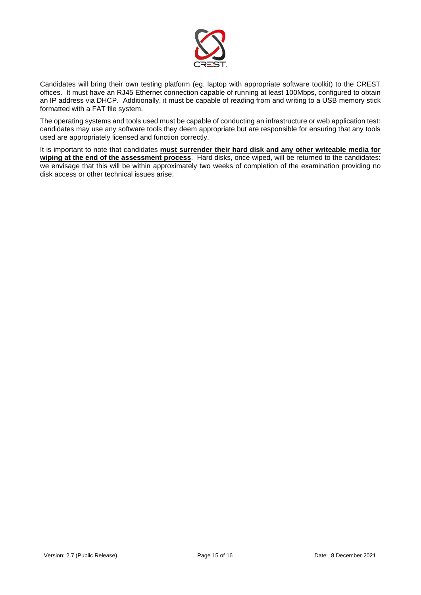

Candidates will bring their own testing platform (eg. laptop with appropriate software toolkit) to the CREST offices. It must have an RJ45 Ethernet connection capable of running at least 100Mbps, configured to obtain an IP address via DHCP. Additionally, it must be capable of reading from and writing to a USB memory stick formatted with a FAT file system.

The operating systems and tools used must be capable of conducting an infrastructure or web application test: candidates may use any software tools they deem appropriate but are responsible for ensuring that any tools used are appropriately licensed and function correctly.

It is important to note that candidates **must surrender their hard disk and any other writeable media for wiping at the end of the assessment process**. Hard disks, once wiped, will be returned to the candidates: we envisage that this will be within approximately two weeks of completion of the examination providing no disk access or other technical issues arise.